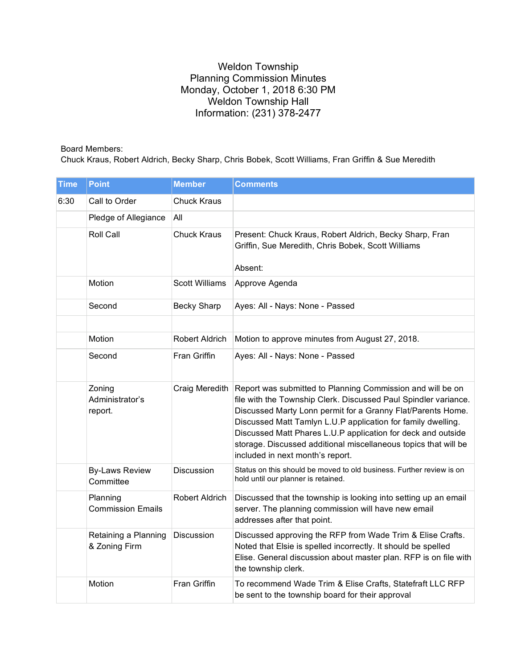## Weldon Township Planning Commission Minutes Monday, October 1, 2018 6:30 PM Weldon Township Hall Information: (231) 378-2477

## Board Members:

Chuck Kraus, Robert Aldrich, Becky Sharp, Chris Bobek, Scott Williams, Fran Griffin & Sue Meredith

| <b>Time</b> | <b>Point</b>                          | <b>Member</b>         | <b>Comments</b>                                                                                                                                                                                                                                                                                                                                                                                                                     |
|-------------|---------------------------------------|-----------------------|-------------------------------------------------------------------------------------------------------------------------------------------------------------------------------------------------------------------------------------------------------------------------------------------------------------------------------------------------------------------------------------------------------------------------------------|
| 6:30        | Call to Order                         | <b>Chuck Kraus</b>    |                                                                                                                                                                                                                                                                                                                                                                                                                                     |
|             | Pledge of Allegiance                  | All                   |                                                                                                                                                                                                                                                                                                                                                                                                                                     |
|             | Roll Call                             | <b>Chuck Kraus</b>    | Present: Chuck Kraus, Robert Aldrich, Becky Sharp, Fran<br>Griffin, Sue Meredith, Chris Bobek, Scott Williams<br>Absent:                                                                                                                                                                                                                                                                                                            |
|             | Motion                                | <b>Scott Williams</b> | Approve Agenda                                                                                                                                                                                                                                                                                                                                                                                                                      |
|             | Second                                | Becky Sharp           | Ayes: All - Nays: None - Passed                                                                                                                                                                                                                                                                                                                                                                                                     |
|             |                                       |                       |                                                                                                                                                                                                                                                                                                                                                                                                                                     |
|             | Motion                                | Robert Aldrich        | Motion to approve minutes from August 27, 2018.                                                                                                                                                                                                                                                                                                                                                                                     |
|             | Second                                | Fran Griffin          | Ayes: All - Nays: None - Passed                                                                                                                                                                                                                                                                                                                                                                                                     |
|             | Zoning<br>Administrator's<br>report.  | Craig Meredith        | Report was submitted to Planning Commission and will be on<br>file with the Township Clerk. Discussed Paul Spindler variance.<br>Discussed Marty Lonn permit for a Granny Flat/Parents Home.<br>Discussed Matt Tamlyn L.U.P application for family dwelling.<br>Discussed Matt Phares L.U.P application for deck and outside<br>storage. Discussed additional miscellaneous topics that will be<br>included in next month's report. |
|             | <b>By-Laws Review</b><br>Committee    | Discussion            | Status on this should be moved to old business. Further review is on<br>hold until our planner is retained.                                                                                                                                                                                                                                                                                                                         |
|             | Planning<br><b>Commission Emails</b>  | <b>Robert Aldrich</b> | Discussed that the township is looking into setting up an email<br>server. The planning commission will have new email<br>addresses after that point.                                                                                                                                                                                                                                                                               |
|             | Retaining a Planning<br>& Zoning Firm | Discussion            | Discussed approving the RFP from Wade Trim & Elise Crafts.<br>Noted that Elsie is spelled incorrectly. It should be spelled<br>Elise. General discussion about master plan. RFP is on file with<br>the township clerk.                                                                                                                                                                                                              |
|             | Motion                                | Fran Griffin          | To recommend Wade Trim & Elise Crafts, Statefraft LLC RFP<br>be sent to the township board for their approval                                                                                                                                                                                                                                                                                                                       |